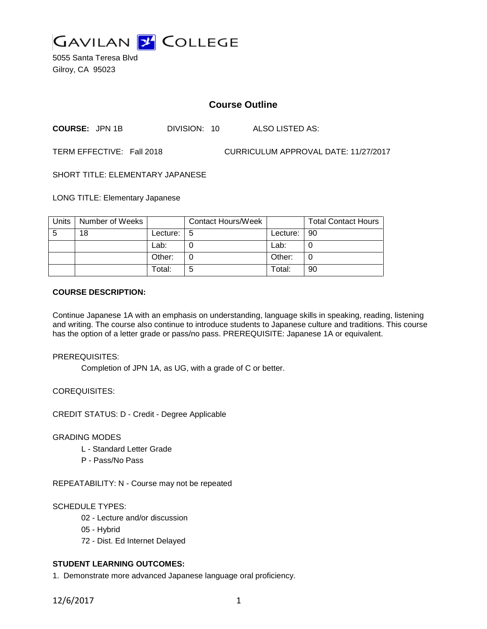

5055 Santa Teresa Blvd Gilroy, CA 95023

# **Course Outline**

**COURSE:** JPN 1B DIVISION: 10 ALSO LISTED AS:

TERM EFFECTIVE: Fall 2018 CURRICULUM APPROVAL DATE: 11/27/2017

SHORT TITLE: ELEMENTARY JAPANESE

LONG TITLE: Elementary Japanese

| Units | Number of Weeks |          | <b>Contact Hours/Week</b> |               | <b>Total Contact Hours</b> |
|-------|-----------------|----------|---------------------------|---------------|----------------------------|
| -5    | 18              | Lecture: | l 5                       | Lecture:   90 |                            |
|       |                 | Lab:     |                           | Lab:          |                            |
|       |                 | Other:   |                           | Other:        |                            |
|       |                 | Total:   | 5                         | Total:        | 90                         |

#### **COURSE DESCRIPTION:**

Continue Japanese 1A with an emphasis on understanding, language skills in speaking, reading, listening and writing. The course also continue to introduce students to Japanese culture and traditions. This course has the option of a letter grade or pass/no pass. PREREQUISITE: Japanese 1A or equivalent.

PREREQUISITES:

Completion of JPN 1A, as UG, with a grade of C or better.

COREQUISITES:

CREDIT STATUS: D - Credit - Degree Applicable

#### GRADING MODES

- L Standard Letter Grade
- P Pass/No Pass

REPEATABILITY: N - Course may not be repeated

### SCHEDULE TYPES:

- 02 Lecture and/or discussion
- 05 Hybrid
- 72 Dist. Ed Internet Delayed

### **STUDENT LEARNING OUTCOMES:**

1. Demonstrate more advanced Japanese language oral proficiency.

12/6/2017 1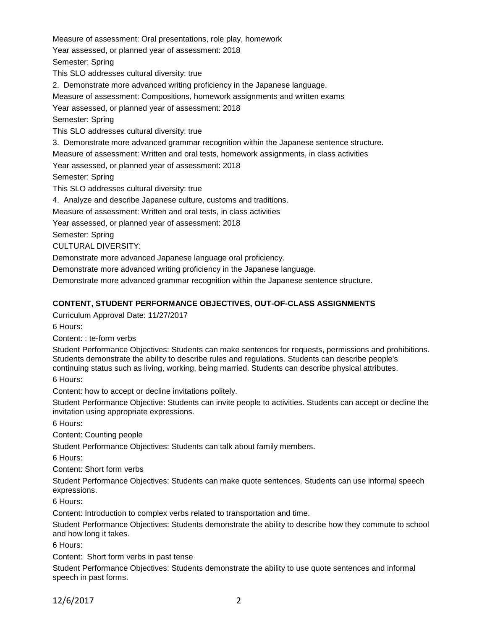Measure of assessment: Oral presentations, role play, homework Year assessed, or planned year of assessment: 2018 Semester: Spring This SLO addresses cultural diversity: true 2. Demonstrate more advanced writing proficiency in the Japanese language. Measure of assessment: Compositions, homework assignments and written exams Year assessed, or planned year of assessment: 2018 Semester: Spring This SLO addresses cultural diversity: true 3. Demonstrate more advanced grammar recognition within the Japanese sentence structure. Measure of assessment: Written and oral tests, homework assignments, in class activities Year assessed, or planned year of assessment: 2018 Semester: Spring This SLO addresses cultural diversity: true 4. Analyze and describe Japanese culture, customs and traditions. Measure of assessment: Written and oral tests, in class activities Year assessed, or planned year of assessment: 2018 Semester: Spring CULTURAL DIVERSITY: Demonstrate more advanced Japanese language oral proficiency. Demonstrate more advanced writing proficiency in the Japanese language.

Demonstrate more advanced grammar recognition within the Japanese sentence structure.

### **CONTENT, STUDENT PERFORMANCE OBJECTIVES, OUT-OF-CLASS ASSIGNMENTS**

Curriculum Approval Date: 11/27/2017

6 Hours:

Content: : te-form verbs

Student Performance Objectives: Students can make sentences for requests, permissions and prohibitions. Students demonstrate the ability to describe rules and regulations. Students can describe people's continuing status such as living, working, being married. Students can describe physical attributes.

6 Hours:

Content: how to accept or decline invitations politely.

Student Performance Objective: Students can invite people to activities. Students can accept or decline the invitation using appropriate expressions.

6 Hours:

Content: Counting people

Student Performance Objectives: Students can talk about family members.

6 Hours:

Content: Short form verbs

Student Performance Objectives: Students can make quote sentences. Students can use informal speech expressions.

6 Hours:

Content: Introduction to complex verbs related to transportation and time.

Student Performance Objectives: Students demonstrate the ability to describe how they commute to school and how long it takes.

6 Hours:

Content: Short form verbs in past tense

Student Performance Objectives: Students demonstrate the ability to use quote sentences and informal speech in past forms.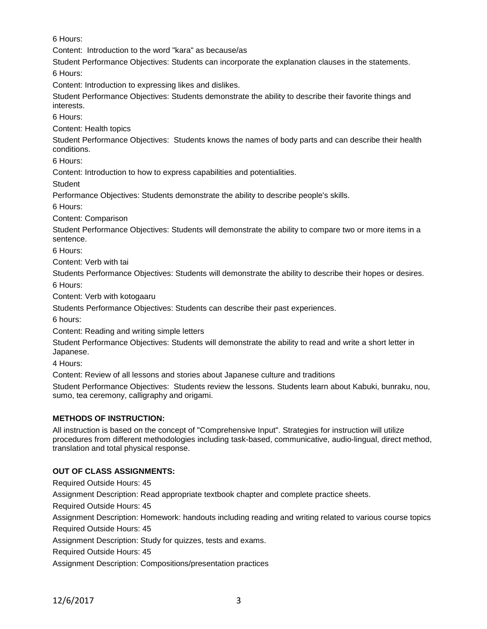6 Hours:

Content: Introduction to the word "kara" as because/as

Student Performance Objectives: Students can incorporate the explanation clauses in the statements.

6 Hours:

Content: Introduction to expressing likes and dislikes.

Student Performance Objectives: Students demonstrate the ability to describe their favorite things and interests.

6 Hours:

Content: Health topics

Student Performance Objectives: Students knows the names of body parts and can describe their health conditions.

6 Hours:

Content: Introduction to how to express capabilities and potentialities.

**Student** 

Performance Objectives: Students demonstrate the ability to describe people's skills.

6 Hours:

Content: Comparison

Student Performance Objectives: Students will demonstrate the ability to compare two or more items in a sentence.

6 Hours:

Content: Verb with tai

Students Performance Objectives: Students will demonstrate the ability to describe their hopes or desires. 6 Hours:

Content: Verb with kotogaaru

Students Performance Objectives: Students can describe their past experiences.

6 hours:

Content: Reading and writing simple letters

Student Performance Objectives: Students will demonstrate the ability to read and write a short letter in Japanese.

4 Hours:

Content: Review of all lessons and stories about Japanese culture and traditions

Student Performance Objectives: Students review the lessons. Students learn about Kabuki, bunraku, nou, sumo, tea ceremony, calligraphy and origami.

## **METHODS OF INSTRUCTION:**

All instruction is based on the concept of "Comprehensive Input". Strategies for instruction will utilize procedures from different methodologies including task-based, communicative, audio-lingual, direct method, translation and total physical response.

## **OUT OF CLASS ASSIGNMENTS:**

Required Outside Hours: 45

Assignment Description: Read appropriate textbook chapter and complete practice sheets.

Required Outside Hours: 45

Assignment Description: Homework: handouts including reading and writing related to various course topics

Required Outside Hours: 45

Assignment Description: Study for quizzes, tests and exams.

Required Outside Hours: 45

Assignment Description: Compositions/presentation practices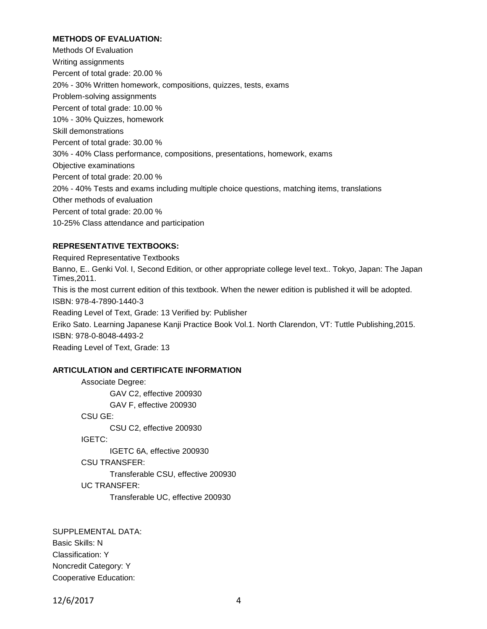### **METHODS OF EVALUATION:**

Methods Of Evaluation Writing assignments Percent of total grade: 20.00 % 20% - 30% Written homework, compositions, quizzes, tests, exams Problem-solving assignments Percent of total grade: 10.00 % 10% - 30% Quizzes, homework Skill demonstrations Percent of total grade: 30.00 % 30% - 40% Class performance, compositions, presentations, homework, exams Objective examinations Percent of total grade: 20.00 % 20% - 40% Tests and exams including multiple choice questions, matching items, translations Other methods of evaluation Percent of total grade: 20.00 % 10-25% Class attendance and participation

### **REPRESENTATIVE TEXTBOOKS:**

Required Representative Textbooks Banno, E.. Genki Vol. I, Second Edition, or other appropriate college level text.. Tokyo, Japan: The Japan Times,2011. This is the most current edition of this textbook. When the newer edition is published it will be adopted. ISBN: 978-4-7890-1440-3 Reading Level of Text, Grade: 13 Verified by: Publisher Eriko Sato. Learning Japanese Kanji Practice Book Vol.1. North Clarendon, VT: Tuttle Publishing,2015. ISBN: 978-0-8048-4493-2 Reading Level of Text, Grade: 13

#### **ARTICULATION and CERTIFICATE INFORMATION**

Associate Degree: GAV C2, effective 200930 GAV F, effective 200930 CSU GE: CSU C2, effective 200930 IGETC: IGETC 6A, effective 200930 CSU TRANSFER: Transferable CSU, effective 200930 UC TRANSFER: Transferable UC, effective 200930

SUPPLEMENTAL DATA: Basic Skills: N Classification: Y Noncredit Category: Y Cooperative Education:

12/6/2017 4